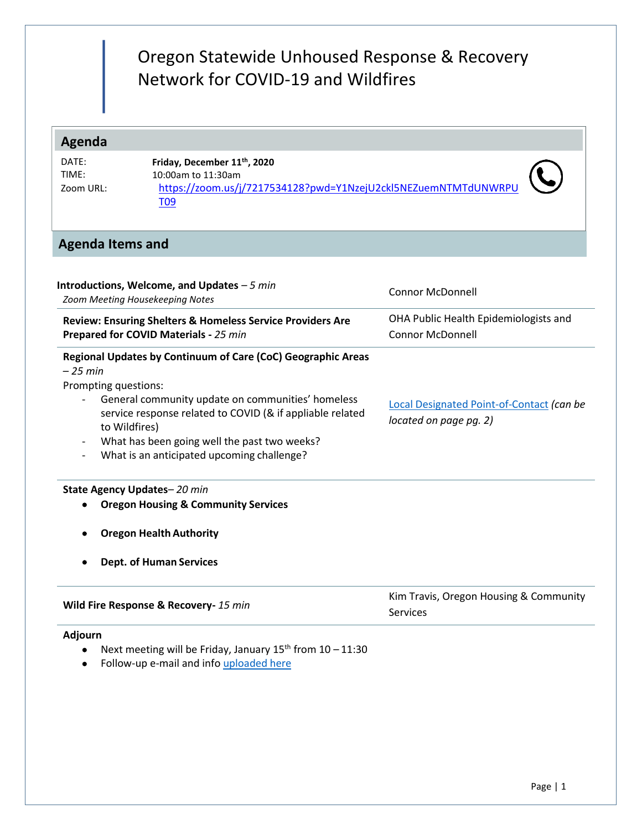# Oregon Statewide Unhoused Response & Recovery Network for COVID-19 and Wildfires

## **Agenda**

DATE: TIME: Zoom URL:

**Discussion**

**Friday, December 11th , 2020** 10:00am to 11:30am [https://zoom.us/j/7217534128?pwd=Y1NzejU2ckl5NEZuemNTMTdUNWRPU](https://zoom.us/j/7217534128?pwd=Y1NzejU2ckl5NEZuemNTMTdUNWRPUT09) [T09](https://zoom.us/j/7217534128?pwd=Y1NzejU2ckl5NEZuemNTMTdUNWRPUT09)



### **Agenda Items and**

| Introductions, Welcome, and Updates $-5$ min<br>Zoom Meeting Housekeeping Notes                             | <b>Connor McDonnell</b>                   |  |
|-------------------------------------------------------------------------------------------------------------|-------------------------------------------|--|
| Review: Ensuring Shelters & Homeless Service Providers Are                                                  | OHA Public Health Epidemiologists and     |  |
| Prepared for COVID Materials - 25 min                                                                       | <b>Connor McDonnell</b>                   |  |
| Regional Updates by Continuum of Care (CoC) Geographic Areas<br>$-25$ min                                   |                                           |  |
| Prompting questions:                                                                                        |                                           |  |
| General community update on communities' homeless                                                           | Local Designated Point-of-Contact (can be |  |
| service response related to COVID (& if appliable related<br>to Wildfires)                                  | located on page pg. 2)                    |  |
| What has been going well the past two weeks?<br>$\overline{\phantom{a}}$                                    |                                           |  |
| What is an anticipated upcoming challenge?                                                                  |                                           |  |
| State Agency Updates-20 min                                                                                 |                                           |  |
| <b>Oregon Housing &amp; Community Services</b>                                                              |                                           |  |
| <b>Oregon Health Authority</b>                                                                              |                                           |  |
| <b>Dept. of Human Services</b>                                                                              |                                           |  |
| Wild Fire Response & Recovery- 15 min                                                                       | Kim Travis, Oregon Housing & Community    |  |
|                                                                                                             | <b>Services</b>                           |  |
| Adjourn                                                                                                     |                                           |  |
| Next meeting will be Friday, January $15^{th}$ from $10 - 11:30$<br>Follow-up e-mail and info uploaded here |                                           |  |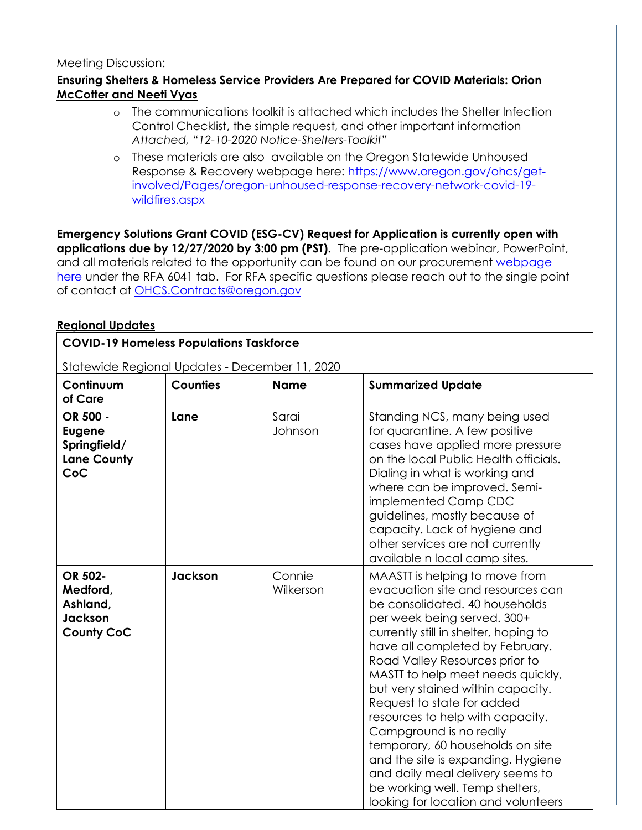#### Meeting Discussion:

#### **Ensuring Shelters & Homeless Service Providers Are Prepared for COVID Materials: Orion McCotter and Neeti Vyas**

- o The communications toolkit is attached which includes the Shelter Infection Control Checklist, the simple request, and other important information *Attached, "12-10-2020 Notice-Shelters-Toolkit"*
- o These materials are also available on the Oregon Statewide Unhoused Response & Recovery webpage here: [https://www.oregon.gov/ohcs/get](https://www.oregon.gov/ohcs/get-involved/Pages/oregon-unhoused-response-recovery-network-covid-19-wildfires.aspx)[involved/Pages/oregon-unhoused-response-recovery-network-covid-19](https://www.oregon.gov/ohcs/get-involved/Pages/oregon-unhoused-response-recovery-network-covid-19-wildfires.aspx) [wildfires.aspx](https://www.oregon.gov/ohcs/get-involved/Pages/oregon-unhoused-response-recovery-network-covid-19-wildfires.aspx)

**Emergency Solutions Grant COVID (ESG-CV) Request for Application is currently open with applications due by 12/27/2020 by 3:00 pm (PST).** The pre-application webinar, PowerPoint, and all materials related to the opportunity can be found on our procurement [webpage](https://www.oregon.gov/ohcs/procurement/Pages/procurement-opportunities.aspx)  [here](https://www.oregon.gov/ohcs/procurement/Pages/procurement-opportunities.aspx) under the RFA 6041 tab. For RFA specific questions please reach out to the single point of contact at [OHCS.Contracts@oregon.gov](mailto:OHCS.Contracts@oregon.gov)

#### **Regional Updates**

| <b>COVID-19 Homeless Populations Taskforce</b><br>Statewide Regional Updates - December 11, 2020 |         |                     |                                                                                                                                                                                                                                                                                                                                                                                                                                                                                                                                                                            |  |
|--------------------------------------------------------------------------------------------------|---------|---------------------|----------------------------------------------------------------------------------------------------------------------------------------------------------------------------------------------------------------------------------------------------------------------------------------------------------------------------------------------------------------------------------------------------------------------------------------------------------------------------------------------------------------------------------------------------------------------------|--|
|                                                                                                  |         |                     |                                                                                                                                                                                                                                                                                                                                                                                                                                                                                                                                                                            |  |
| OR 500 -<br><b>Eugene</b><br>Springfield/<br><b>Lane County</b><br>CoC                           | Lane    | Sarai<br>Johnson    | Standing NCS, many being used<br>for quarantine. A few positive<br>cases have applied more pressure<br>on the local Public Health officials.<br>Dialing in what is working and<br>where can be improved. Semi-<br>implemented Camp CDC<br>guidelines, mostly because of<br>capacity. Lack of hygiene and<br>other services are not currently<br>available n local camp sites.                                                                                                                                                                                              |  |
| OR 502-<br>Medford,<br>Ashland,<br>Jackson<br><b>County CoC</b>                                  | Jackson | Connie<br>Wilkerson | MAASTT is helping to move from<br>evacuation site and resources can<br>be consolidated. 40 households<br>per week being served. 300+<br>currently still in shelter, hoping to<br>have all completed by February.<br>Road Valley Resources prior to<br>MASTT to help meet needs quickly,<br>but very stained within capacity.<br>Request to state for added<br>resources to help with capacity.<br>Campground is no really<br>temporary, 60 households on site<br>and the site is expanding. Hygiene<br>and daily meal delivery seems to<br>be working well. Temp shelters, |  |

looking for location and volunteers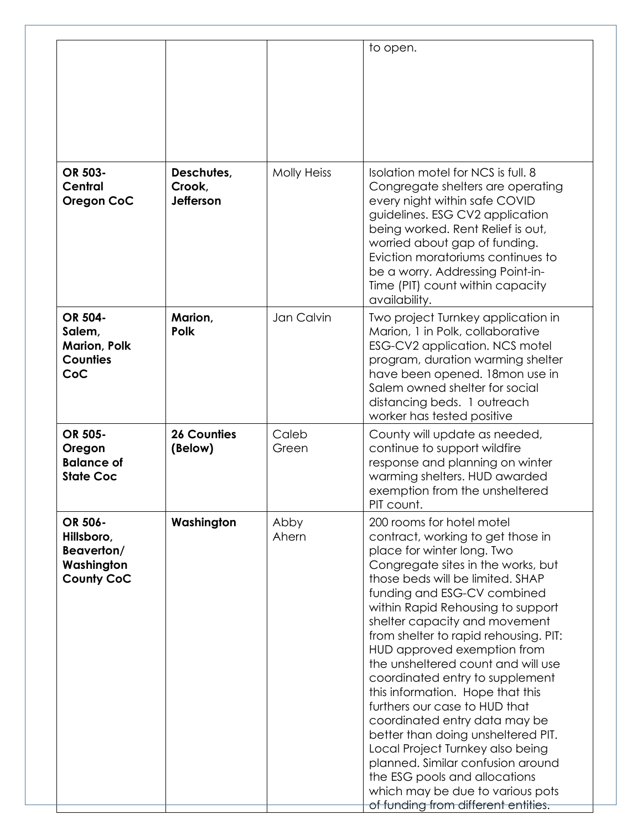|                                          |                    | to open.                                                                                                                                                                                                                                                                                                                                                                                                                                                                                                                                                                                                                                                                           |
|------------------------------------------|--------------------|------------------------------------------------------------------------------------------------------------------------------------------------------------------------------------------------------------------------------------------------------------------------------------------------------------------------------------------------------------------------------------------------------------------------------------------------------------------------------------------------------------------------------------------------------------------------------------------------------------------------------------------------------------------------------------|
| Deschutes,<br>Crook,<br><b>Jefferson</b> | <b>Molly Heiss</b> | Isolation motel for NCS is full, 8<br>Congregate shelters are operating<br>every night within safe COVID<br>guidelines. ESG CV2 application<br>being worked. Rent Relief is out,<br>worried about gap of funding.<br>Eviction moratoriums continues to<br>be a worry. Addressing Point-in-<br>Time (PIT) count within capacity<br>availability.                                                                                                                                                                                                                                                                                                                                    |
| Marion,<br><b>Polk</b>                   | Jan Calvin         | Two project Turnkey application in<br>Marion, 1 in Polk, collaborative<br>ESG-CV2 application. NCS motel<br>program, duration warming shelter<br>have been opened. 18mon use in<br>Salem owned shelter for social<br>distancing beds. 1 outreach<br>worker has tested positive                                                                                                                                                                                                                                                                                                                                                                                                     |
| <b>26 Counties</b><br>(Below)            | Caleb<br>Green     | County will update as needed,<br>continue to support wildfire<br>response and planning on winter<br>warming shelters. HUD awarded<br>exemption from the unsheltered<br>PIT count.                                                                                                                                                                                                                                                                                                                                                                                                                                                                                                  |
| Washington                               | Abby<br>Ahern      | 200 rooms for hotel motel<br>contract, working to get those in<br>place for winter long. Two<br>Congregate sites in the works, but<br>those beds will be limited. SHAP<br>funding and ESG-CV combined<br>within Rapid Rehousing to support<br>shelter capacity and movement<br>from shelter to rapid rehousing. PIT:<br>HUD approved exemption from<br>the unsheltered count and will use<br>coordinated entry to supplement<br>this information. Hope that this<br>furthers our case to HUD that<br>coordinated entry data may be<br>better than doing unsheltered PIT.<br>Local Project Turnkey also being<br>planned. Similar confusion around<br>the ESG pools and allocations |
|                                          |                    |                                                                                                                                                                                                                                                                                                                                                                                                                                                                                                                                                                                                                                                                                    |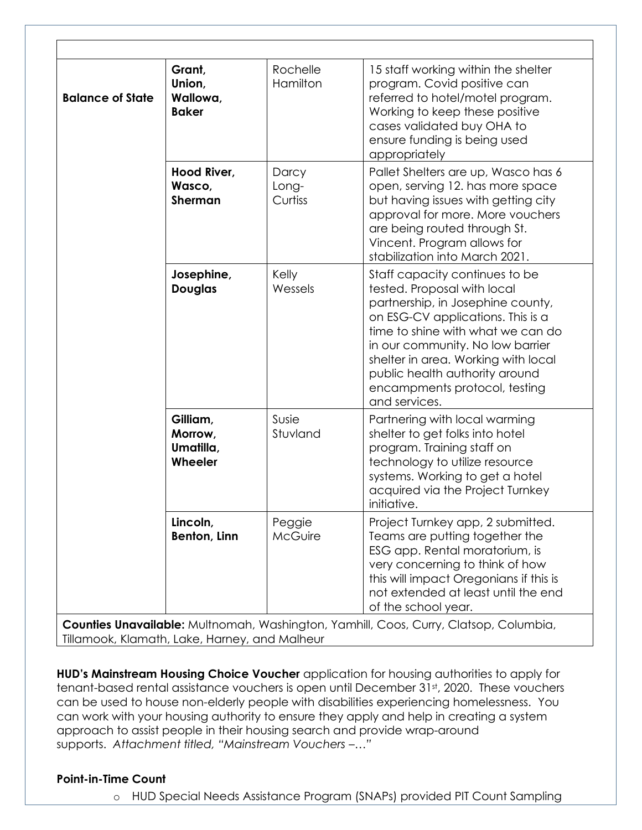| <b>Balance of State</b> | Grant,<br>Union,<br>Wallowa,<br><b>Baker</b> | Rochelle<br>Hamilton      | 15 staff working within the shelter<br>program. Covid positive can<br>referred to hotel/motel program.<br>Working to keep these positive<br>cases validated buy OHA to<br>ensure funding is being used<br>appropriately                                                                                                                     |
|-------------------------|----------------------------------------------|---------------------------|---------------------------------------------------------------------------------------------------------------------------------------------------------------------------------------------------------------------------------------------------------------------------------------------------------------------------------------------|
|                         | Hood River,<br>Wasco,<br><b>Sherman</b>      | Darcy<br>Long-<br>Curtiss | Pallet Shelters are up, Wasco has 6<br>open, serving 12. has more space<br>but having issues with getting city<br>approval for more. More vouchers<br>are being routed through St.<br>Vincent. Program allows for<br>stabilization into March 2021.                                                                                         |
|                         | Josephine,<br><b>Douglas</b>                 | Kelly<br>Wessels          | Staff capacity continues to be<br>tested. Proposal with local<br>partnership, in Josephine county,<br>on ESG-CV applications. This is a<br>time to shine with what we can do<br>in our community. No low barrier<br>shelter in area. Working with local<br>public health authority around<br>encampments protocol, testing<br>and services. |
|                         | Gilliam,<br>Morrow,<br>Umatilla,<br>Wheeler  | Susie<br>Stuvland         | Partnering with local warming<br>shelter to get folks into hotel<br>program. Training staff on<br>technology to utilize resource<br>systems. Working to get a hotel<br>acquired via the Project Turnkey<br>initiative.                                                                                                                      |
|                         | Lincoln,<br>Benton, Linn                     | Peggie<br>McGuire         | Project Turnkey app, 2 submitted.<br>Teams are putting together the<br>ESG app. Rental moratorium, is<br>very concerning to think of how<br>this will impact Oregonians if this is<br>not extended at least until the end<br>of the school year.                                                                                            |

**HUD's Mainstream Housing Choice Voucher** application for housing authorities to apply for tenant-based rental assistance vouchers is open until December 31st, 2020. These vouchers can be used to house non-elderly people with disabilities experiencing homelessness. You can work with your housing authority to ensure they apply and help in creating a system approach to assist people in their housing search and provide wrap-around supports. *Attachment titled, "Mainstream Vouchers –…"*

#### **Point-in-Time Count**

o HUD Special Needs Assistance Program (SNAPs) provided PIT Count Sampling